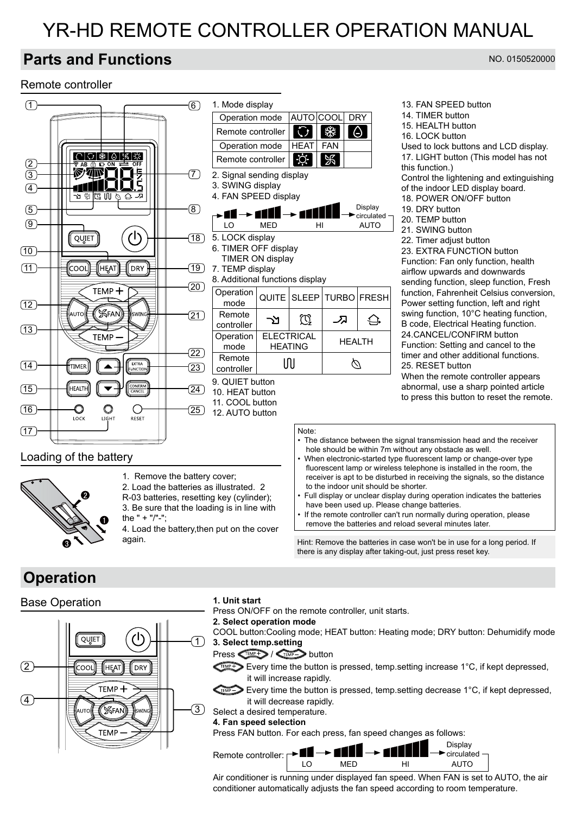# YR-HD REMOTE CONTROLLER OPERATION MANUAL

# **Parts and Functions**

### Remote controller





1. Remove the battery cover; 2. Load the batteries as illustrated. 2 R-03 batteries, resetting key (cylinder);

3. Be sure that the loading is in line with the  $" + "/" -".$ 4. Load the battery,then put on the cover

again.

- The distance between the signal transmission head and the receiver hole should be within 7m without any obstacle as well.
- When electronic-started type fluorescent lamp or change-over type fluorescent lamp or wireless telephone is installed in the room, the receiver is apt to be disturbed in receiving the signals, so the distance to the indoor unit should be shorter.
- Full display or unclear display during operation indicates the batteries have been used up. Please change batteries.
- If the remote controller can't run normally during operation, please remove the batteries and reload several minutes later.

Hint: Remove the batteries in case won't be in use for a long period. If there is any display after taking-out, just press reset key.

# **Operation**

### Base Operation



#### **1. Unit start**

Press ON/OFF on the remote controller, unit starts.

#### **2. Select operation mode**

COOL button:Cooling mode; HEAT button: Heating mode; DRY button: Dehumidify mode **3. Select temp.setting**

#### $Press \n\leq P \n\leq P$  /  $Sens$  button

Every time the button is pressed, temp. setting increase 1°C, if kept depressed, it will increase rapidly.

- Every time the button is pressed, temp.setting decrease 1°C, if kept depressed, it will decrease rapidly.
- Select a desired temperature.

#### **4. Fan speed selection**

Press FAN button. For each press, fan speed changes as follows:

Display Remote controller: **Bullet** circulated LO MED HI AUTO

Air conditioner is running under displayed fan speed. When FAN is set to AUTO, the air conditioner automatically adjusts the fan speed according to room temperature.

#### NO. 0150520000